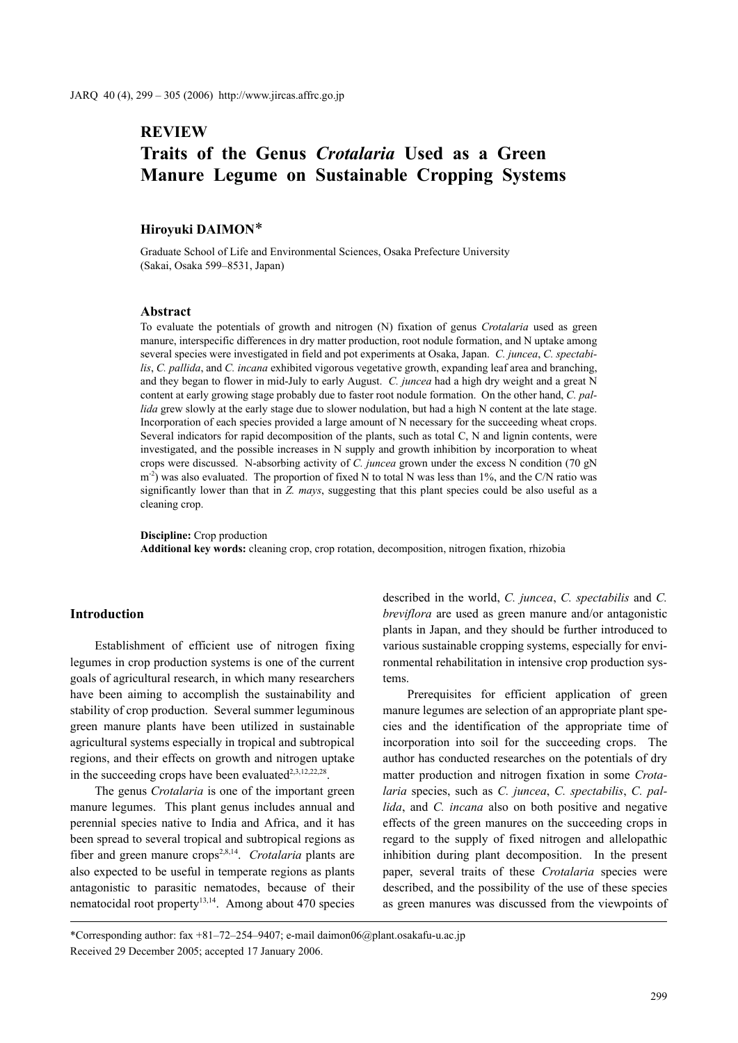# **REVIEW Traits of the Genus** *Crotalaria* **Used as a Green Manure Legume on Sustainable Cropping Systems**

### **Hiroyuki DAIMON**\*

Graduate School of Life and Environmental Sciences, Osaka Prefecture University (Sakai, Osaka 599–8531, Japan)

#### **Abstract**

To evaluate the potentials of growth and nitrogen (N) fixation of genus *Crotalaria* used as green manure, interspecific differences in dry matter production, root nodule formation, and N uptake among several species were investigated in field and pot experiments at Osaka, Japan. *C. juncea*, *C. spectabilis*, *C. pallida*, and *C. incana* exhibited vigorous vegetative growth, expanding leaf area and branching, and they began to flower in mid-July to early August. *C. juncea* had a high dry weight and a great N content at early growing stage probably due to faster root nodule formation. On the other hand, *C. pallida* grew slowly at the early stage due to slower nodulation, but had a high N content at the late stage. Incorporation of each species provided a large amount of N necessary for the succeeding wheat crops. Several indicators for rapid decomposition of the plants, such as total C, N and lignin contents, were investigated, and the possible increases in N supply and growth inhibition by incorporation to wheat crops were discussed. N-absorbing activity of *C. juncea* grown under the excess N condition (70 gN  $m<sup>2</sup>$ ) was also evaluated. The proportion of fixed N to total N was less than 1%, and the C/N ratio was significantly lower than that in *Z. mays*, suggesting that this plant species could be also useful as a cleaning crop.

**Discipline:** Crop production

**Additional key words:** cleaning crop, crop rotation, decomposition, nitrogen fixation, rhizobia

## **Introduction**

Establishment of efficient use of nitrogen fixing legumes in crop production systems is one of the current goals of agricultural research, in which many researchers have been aiming to accomplish the sustainability and stability of crop production. Several summer leguminous green manure plants have been utilized in sustainable agricultural systems especially in tropical and subtropical regions, and their effects on growth and nitrogen uptake in the succeeding crops have been evaluated $2,3,12,22,28$ .

The genus *Crotalaria* is one of the important green manure legumes. This plant genus includes annual and perennial species native to India and Africa, and it has been spread to several tropical and subtropical regions as fiber and green manure crops<sup>2,8,14</sup>. *Crotalaria* plants are also expected to be useful in temperate regions as plants antagonistic to parasitic nematodes, because of their nematocidal root property $13,14$ . Among about 470 species described in the world, *C. juncea*, *C. spectabilis* and *C. breviflora* are used as green manure and/or antagonistic plants in Japan, and they should be further introduced to various sustainable cropping systems, especially for environmental rehabilitation in intensive crop production systems.

Prerequisites for efficient application of green manure legumes are selection of an appropriate plant species and the identification of the appropriate time of incorporation into soil for the succeeding crops. The author has conducted researches on the potentials of dry matter production and nitrogen fixation in some *Crotalaria* species, such as *C. juncea*, *C. spectabilis*, *C. pallida*, and *C. incana* also on both positive and negative effects of the green manures on the succeeding crops in regard to the supply of fixed nitrogen and allelopathic inhibition during plant decomposition. In the present paper, several traits of these *Crotalaria* species were described, and the possibility of the use of these species as green manures was discussed from the viewpoints of

\*Corresponding author: fax +81–72–254–9407; e-mail daimon06@plant.osakafu-u.ac.jp Received 29 December 2005; accepted 17 January 2006.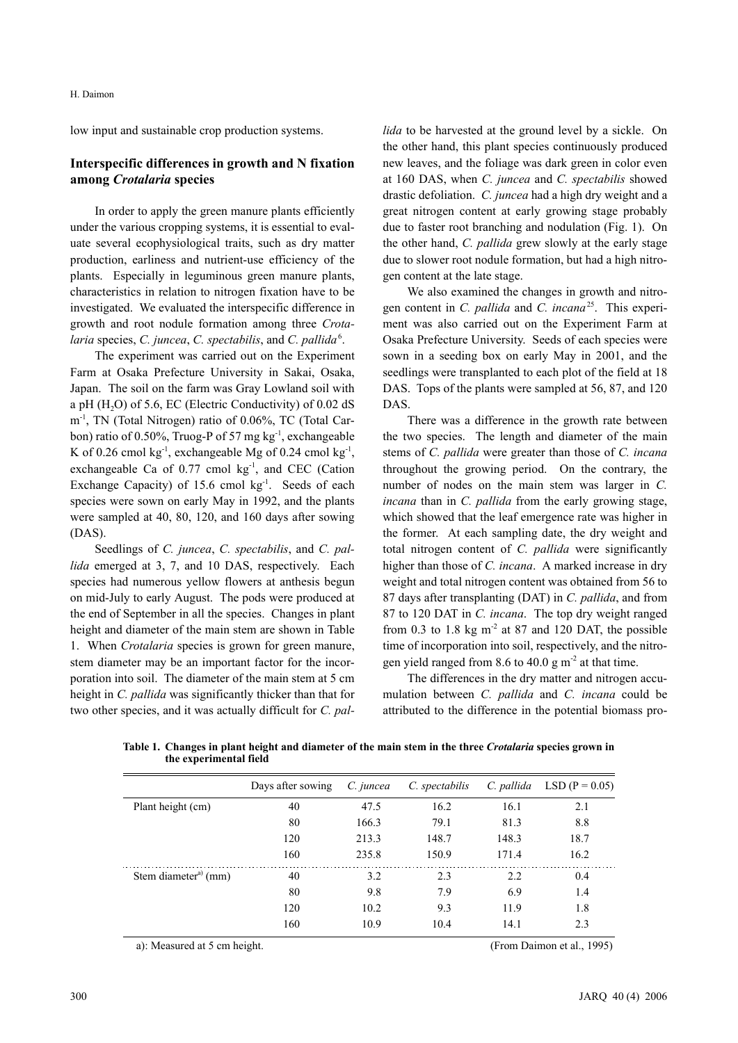low input and sustainable crop production systems.

# **Interspecific differences in growth and N fixation among** *Crotalaria* **species**

In order to apply the green manure plants efficiently under the various cropping systems, it is essential to evaluate several ecophysiological traits, such as dry matter production, earliness and nutrient-use efficiency of the plants. Especially in leguminous green manure plants, characteristics in relation to nitrogen fixation have to be investigated. We evaluated the interspecific difference in growth and root nodule formation among three *Crota*laria species, *C. juncea*, *C. spectabilis*, and *C. pallida*<sup>6</sup>.

The experiment was carried out on the Experiment Farm at Osaka Prefecture University in Sakai, Osaka, Japan. The soil on the farm was Gray Lowland soil with a pH  $(H<sub>2</sub>O)$  of 5.6, EC (Electric Conductivity) of 0.02 dS m-1, TN (Total Nitrogen) ratio of 0.06%, TC (Total Carbon) ratio of 0.50%, Truog-P of 57 mg kg<sup>-1</sup>, exchangeable K of 0.26 cmol kg<sup>-1</sup>, exchangeable Mg of 0.24 cmol kg<sup>-1</sup>, exchangeable Ca of  $0.77$  cmol kg $^{-1}$ , and CEC (Cation Exchange Capacity) of  $15.6$  cmol kg<sup>-1</sup>. Seeds of each species were sown on early May in 1992, and the plants were sampled at 40, 80, 120, and 160 days after sowing (DAS).

Seedlings of *C. juncea*, *C. spectabilis*, and *C. pallida* emerged at 3, 7, and 10 DAS, respectively. Each species had numerous yellow flowers at anthesis begun on mid-July to early August. The pods were produced at the end of September in all the species. Changes in plant height and diameter of the main stem are shown in Table 1. When *Crotalaria* species is grown for green manure, stem diameter may be an important factor for the incorporation into soil. The diameter of the main stem at 5 cm height in *C. pallida* was significantly thicker than that for two other species, and it was actually difficult for *C. pal-* *lida* to be harvested at the ground level by a sickle. On the other hand, this plant species continuously produced new leaves, and the foliage was dark green in color even at 160 DAS, when *C. juncea* and *C. spectabilis* showed drastic defoliation. *C. juncea* had a high dry weight and a great nitrogen content at early growing stage probably due to faster root branching and nodulation (Fig. 1). On the other hand, *C. pallida* grew slowly at the early stage due to slower root nodule formation, but had a high nitrogen content at the late stage.

We also examined the changes in growth and nitrogen content in *C. pallida* and *C. incana*25. This experiment was also carried out on the Experiment Farm at Osaka Prefecture University. Seeds of each species were sown in a seeding box on early May in 2001, and the seedlings were transplanted to each plot of the field at 18 DAS. Tops of the plants were sampled at 56, 87, and 120 DAS.

There was a difference in the growth rate between the two species. The length and diameter of the main stems of *C. pallida* were greater than those of *C. incana* throughout the growing period. On the contrary, the number of nodes on the main stem was larger in *C. incana* than in *C. pallida* from the early growing stage, which showed that the leaf emergence rate was higher in the former. At each sampling date, the dry weight and total nitrogen content of *C. pallida* were significantly higher than those of *C. incana*. A marked increase in dry weight and total nitrogen content was obtained from 56 to 87 days after transplanting (DAT) in *C. pallida*, and from 87 to 120 DAT in *C. incana*. The top dry weight ranged from 0.3 to 1.8 kg  $m<sup>2</sup>$  at 87 and 120 DAT, the possible time of incorporation into soil, respectively, and the nitrogen yield ranged from 8.6 to 40.0 g  $\text{m}^2$  at that time.

The differences in the dry matter and nitrogen accumulation between *C. pallida* and *C. incana* could be attributed to the difference in the potential biomass pro-

|                                  | Days after sowing | C. juncea | C. spectabilis | C. pallida | $LSD (P = 0.05)$ |
|----------------------------------|-------------------|-----------|----------------|------------|------------------|
| Plant height (cm)                | 40                | 47.5      | 16.2           | 16.1       | 2.1              |
|                                  | 80                | 166.3     | 79.1           | 81.3       | 8.8              |
|                                  | 120               | 213.3     | 148.7          | 148.3      | 18.7             |
|                                  | 160               | 235.8     | 150.9          | 171.4      | 16.2             |
| Stem diameter <sup>a)</sup> (mm) | 40                | 3.2       | 2.3            | 2.2        | 0.4              |
|                                  | 80                | 9.8       | 7.9            | 6.9        | 1.4              |
|                                  | 120               | 10.2      | 9.3            | 11.9       | 1.8              |
|                                  | 160               | 10.9      | 10.4           | 14.1       | 2.3              |

**Table 1. Changes in plant height and diameter of the main stem in the three** *Crotalaria* **species grown in the experimental field**

a): Measured at 5 cm height. (From Daimon et al., 1995)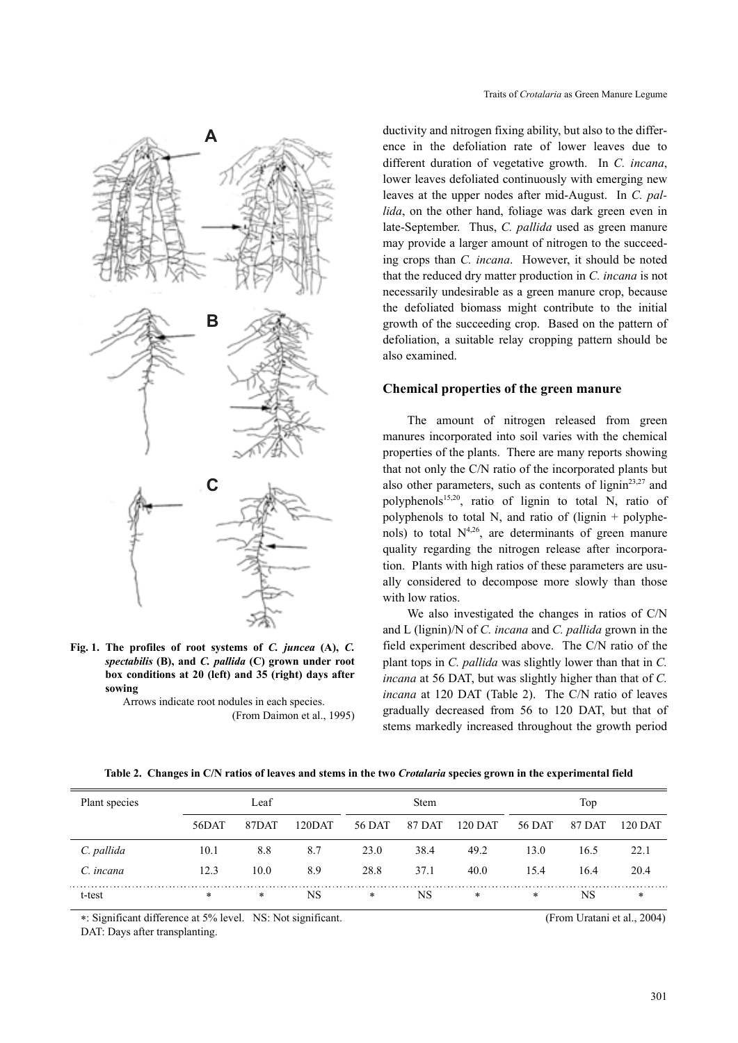

**Fig. 1. The profiles of root systems of** *C. juncea* **(A),** *C. spectabilis* **(B), and** *C. pallida* **(C) grown under root box conditions at 20 (left) and 35 (right) days after sowing**

> Arrows indicate root nodules in each species. (From Daimon et al., 1995)

ductivity and nitrogen fixing ability, but also to the difference in the defoliation rate of lower leaves due to different duration of vegetative growth. In *C. incana*, lower leaves defoliated continuously with emerging new leaves at the upper nodes after mid-August. In *C. pallida*, on the other hand, foliage was dark green even in late-September. Thus, *C. pallida* used as green manure may provide a larger amount of nitrogen to the succeeding crops than *C. incana*. However, it should be noted that the reduced dry matter production in *C. incana* is not necessarily undesirable as a green manure crop, because the defoliated biomass might contribute to the initial growth of the succeeding crop. Based on the pattern of defoliation, a suitable relay cropping pattern should be also examined.

### **Chemical properties of the green manure**

The amount of nitrogen released from green manures incorporated into soil varies with the chemical properties of the plants. There are many reports showing that not only the C/N ratio of the incorporated plants but also other parameters, such as contents of lignin<sup>23,27</sup> and polyphenols<sup>15,20</sup>, ratio of lignin to total N, ratio of polyphenols to total N, and ratio of (lignin  $+$  polyphenols) to total  $N^{4,26}$ , are determinants of green manure quality regarding the nitrogen release after incorporation. Plants with high ratios of these parameters are usually considered to decompose more slowly than those with low ratios.

We also investigated the changes in ratios of C/N and L (lignin)/N of *C. incana* and *C. pallida* grown in the field experiment described above. The C/N ratio of the plant tops in *C. pallida* was slightly lower than that in *C. incana* at 56 DAT, but was slightly higher than that of *C. incana* at 120 DAT (Table 2). The C/N ratio of leaves gradually decreased from 56 to 120 DAT, but that of stems markedly increased throughout the growth period

**Table 2. Changes in C/N ratios of leaves and stems in the two** *Crotalaria* **species grown in the experimental field**

| Plant species | Leaf   |        | <b>Stem</b> |        |        | Top     |        |        |         |
|---------------|--------|--------|-------------|--------|--------|---------|--------|--------|---------|
|               | 56DAT  | 87DAT  | 120DAT      | 56 DAT | 87 DAT | 120 DAT | 56 DAT | 87 DAT | 120 DAT |
| C. pallida    | 10.1   | 8.8    | 8.7         | 23.0   | 38.4   | 49.2    | 13.0   | 16.5   | 22.1    |
| C. incana     | 12.3   | 10.0   | 8.9         | 28.8   | 37.1   | 40.0    | 15.4   | 16.4   | 20.4    |
| t-test        | $\ast$ | $\ast$ | <b>NS</b>   | *      | NS     | $\ast$  | $\ast$ | NS     | $\ast$  |

∗: Significant difference at 5% level. NS: Not significant. (From Uratani et al., 2004)

DAT: Days after transplanting.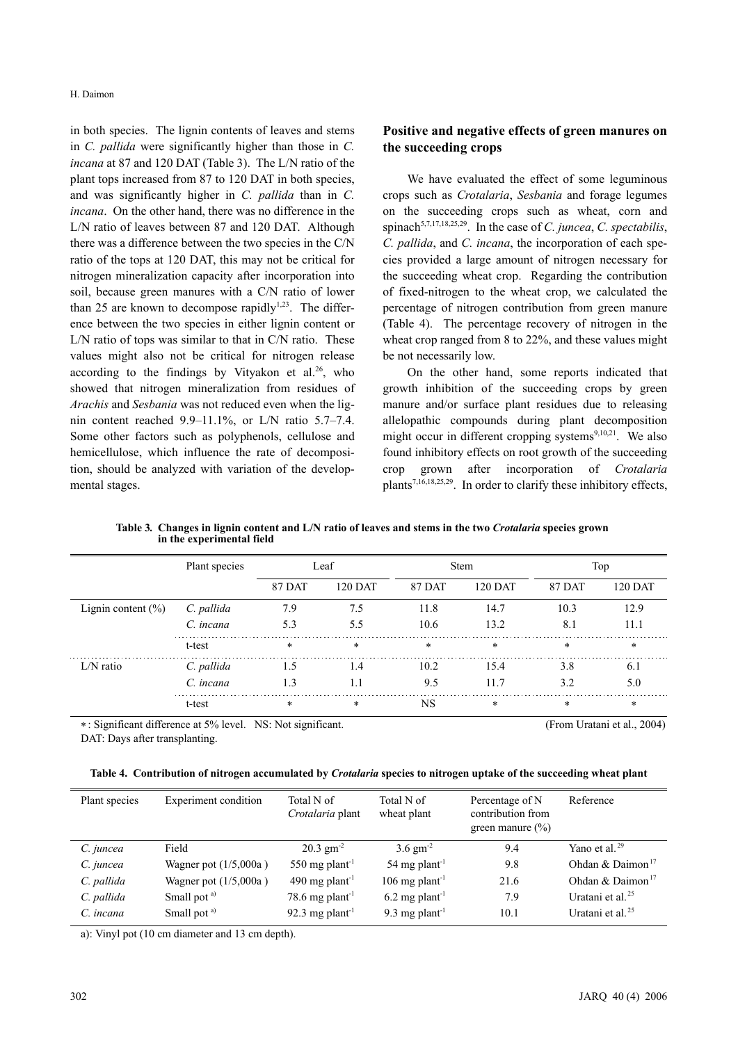in both species. The lignin contents of leaves and stems in *C. pallida* were significantly higher than those in *C. incana* at 87 and 120 DAT (Table 3). The L/N ratio of the plant tops increased from 87 to 120 DAT in both species, and was significantly higher in *C. pallida* than in *C. incana*. On the other hand, there was no difference in the L/N ratio of leaves between 87 and 120 DAT. Although there was a difference between the two species in the C/N ratio of the tops at 120 DAT, this may not be critical for nitrogen mineralization capacity after incorporation into soil, because green manures with a C/N ratio of lower than 25 are known to decompose rapidly<sup>1,23</sup>. The difference between the two species in either lignin content or L/N ratio of tops was similar to that in C/N ratio. These values might also not be critical for nitrogen release according to the findings by Vityakon et al.<sup>26</sup>, who showed that nitrogen mineralization from residues of *Arachis* and *Sesbania* was not reduced even when the lignin content reached 9.9–11.1%, or L/N ratio 5.7–7.4. Some other factors such as polyphenols, cellulose and hemicellulose, which influence the rate of decomposition, should be analyzed with variation of the developmental stages.

# **Positive and negative effects of green manures on the succeeding crops**

We have evaluated the effect of some leguminous crops such as *Crotalaria*, *Sesbania* and forage legumes on the succeeding crops such as wheat, corn and spinach<sup>5,7,17,18,25,29</sup>. In the case of *C. juncea*, *C. spectabilis*, *C. pallida*, and *C. incana*, the incorporation of each species provided a large amount of nitrogen necessary for the succeeding wheat crop. Regarding the contribution of fixed-nitrogen to the wheat crop, we calculated the percentage of nitrogen contribution from green manure (Table 4). The percentage recovery of nitrogen in the wheat crop ranged from 8 to 22%, and these values might be not necessarily low.

On the other hand, some reports indicated that growth inhibition of the succeeding crops by green manure and/or surface plant residues due to releasing allelopathic compounds during plant decomposition might occur in different cropping systems $9,10,21$ . We also found inhibitory effects on root growth of the succeeding crop grown after incorporation of *Crotalaria* plants7,16,18,25,29. In order to clarify these inhibitory effects,

|                        | Plant species | Leaf          |                | <b>Stem</b>   |                | Top           |                |
|------------------------|---------------|---------------|----------------|---------------|----------------|---------------|----------------|
|                        |               | <b>87 DAT</b> | <b>120 DAT</b> | <b>87 DAT</b> | <b>120 DAT</b> | <b>87 DAT</b> | <b>120 DAT</b> |
| Lignin content $(\% )$ | C. pallida    | 7.9           | 7.5            | 11.8          | 14.7           | 10.3          | 12.9           |
|                        | C. incana     | 5.3           | 5.5            | 10.6          | 13.2           | 8.1           | 11.1           |
|                        | t-test        | $\ast$        | $*$            | $*$           | $*$            | $\ast$        | $\ast$         |
| $L/N$ ratio            | C. pallida    | 1.5           | 1.4            | 10.2          | 15.4           | 3.8           | 6.1            |
|                        | C. incana     | 1.3           | 1.1            | 9.5           | 11.7           | 3.2           | 5.0            |
|                        | t-test        | $\ast$        | $\star$        | <b>NS</b>     | $\ast$         | $\ast$        | $\ast$         |

**Table 3***.* **Changes in lignin content and L/N ratio of leaves and stems in the two** *Crotalaria* **species grown in the experimental field**

∗: Significant difference at 5% level. NS: Not significant. DAT: Days after transplanting.

|  | (From Uratani et al., 2004) |  |
|--|-----------------------------|--|
|  |                             |  |

**Table 4. Contribution of nitrogen accumulated by** *Crotalaria* **species to nitrogen uptake of the succeeding wheat plant**

| Plant species | <b>Experiment</b> condition | Total N of<br>Crotalaria plant | Total N of<br>wheat plant   | Percentage of N<br>contribution from<br>green manure $(\% )$ | Reference                    |
|---------------|-----------------------------|--------------------------------|-----------------------------|--------------------------------------------------------------|------------------------------|
| C. juncea     | Field                       | $20.3 \text{ gm}^{-2}$         | $3.6 \text{ gm}^{-2}$       | 9.4                                                          | Yano et al. $29$             |
| C. juncea     | Wagner pot $(1/5,000a)$     | 550 mg plant <sup>-1</sup>     | 54 mg plant <sup>-1</sup>   | 9.8                                                          | Ohdan & Daimon <sup>17</sup> |
| C. pallida    | Wagner pot $(1/5,000a)$     | 490 mg plant <sup>-1</sup>     | 106 mg plant <sup>-1</sup>  | 21.6                                                         | Ohdan & Daimon <sup>17</sup> |
| C. pallida    | Small pot <sup>a)</sup>     | 78.6 mg plant <sup>-1</sup>    | $6.2 \text{ mg plant}^{-1}$ | 7.9                                                          | Uratani et al. $25$          |
| C. incana     | Small pot <sup>a)</sup>     | 92.3 mg plant <sup>-1</sup>    | 9.3 mg plant <sup>-1</sup>  | 10.1                                                         | Uratani et al. $25$          |

a): Vinyl pot (10 cm diameter and 13 cm depth).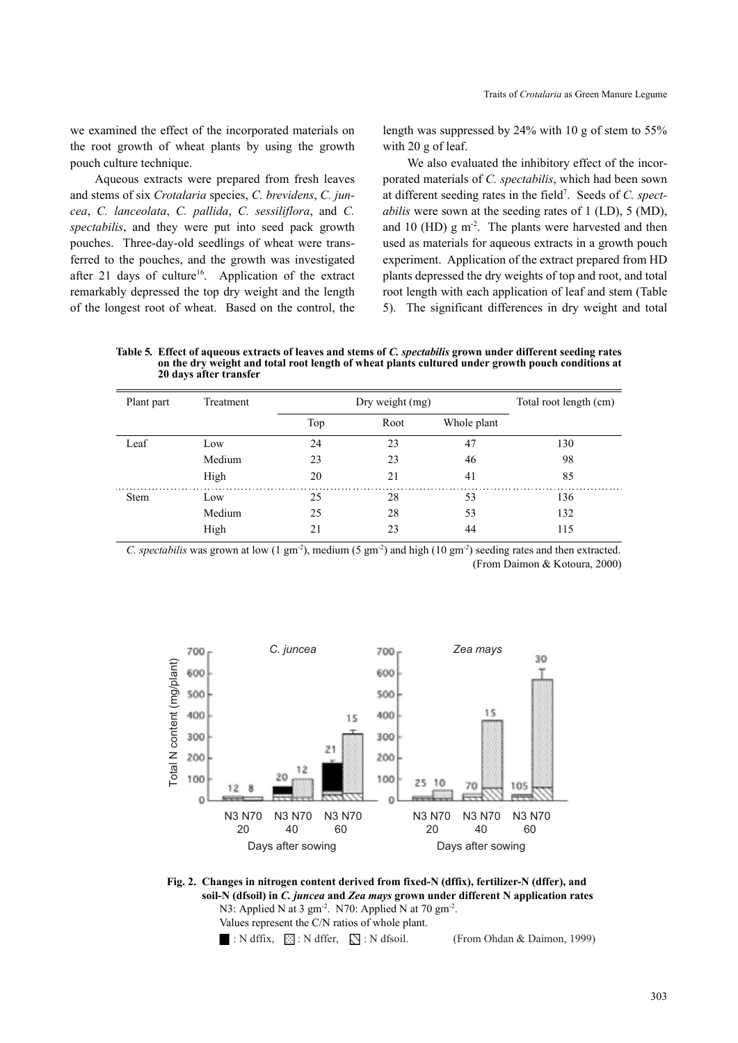we examined the effect of the incorporated materials on the root growth of wheat plants by using the growth pouch culture technique.

Aqueous extracts were prepared from fresh leaves and stems of six *Crotalaria* species, *C. brevidens*, *C. juncea*, *C. lanceolata*, *C. pallida*, *C. sessiliflora*, and *C. spectabilis*, and they were put into seed pack growth pouches. Three-day-old seedlings of wheat were transferred to the pouches, and the growth was investigated after 21 days of culture<sup>16</sup>. Application of the extract remarkably depressed the top dry weight and the length of the longest root of wheat. Based on the control, the length was suppressed by 24% with 10 g of stem to 55% with 20 g of leaf.

We also evaluated the inhibitory effect of the incorporated materials of *C. spectabilis*, which had been sown at different seeding rates in the field<sup>7</sup>. Seeds of *C. spectabilis* were sown at the seeding rates of 1 (LD), 5 (MD), and 10 (HD)  $g \text{ m}^{-2}$ . The plants were harvested and then used as materials for aqueous extracts in a growth pouch experiment. Application of the extract prepared from HD plants depressed the dry weights of top and root, and total root length with each application of leaf and stem (Table 5). The significant differences in dry weight and total

**Table 5***.* **Effect of aqueous extracts of leaves and stems of** *C. spectabilis* **grown under different seeding rates on the dry weight and total root length of wheat plants cultured under growth pouch conditions at 20 days after transfer**

| Plant part  | Treatment | Dry weight (mg) |      |             | Total root length (cm) |
|-------------|-----------|-----------------|------|-------------|------------------------|
|             |           | Top             | Root | Whole plant |                        |
| Leaf        | Low       | 24              | 23   | 47          | 130                    |
|             | Medium    | 23              | 23   | 46          | 98                     |
|             | High      | 20              | 21   | 41          | 85                     |
| <b>Stem</b> | Low       | 25              | 28   | 53          | 136                    |
|             | Medium    | 25              | 28   | 53          | 132                    |
|             | High      | 21              | 23   | 44          | 115                    |

*C. spectabilis* was grown at low (1 gm<sup>-2</sup>), medium (5 gm<sup>-2</sup>) and high (10 gm<sup>-2</sup>) seeding rates and then extracted. (From Daimon & Kotoura, 2000)



**Fig. 2. Changes in nitrogen content derived from fixed-N (dffix), fertilizer-N (dffer), and soil-N (dfsoil) in** *C. juncea* **and** *Zea mays* **grown under different N application rates** N3: Applied N at 3 gm<sup>-2</sup>. N70: Applied N at 70 gm<sup>-2</sup>.

Values represent the C/N ratios of whole plant.

: N dffix,  $\boxed{\odot}$ : N dffer,  $\boxed{\searrow}$ : N dfsoil. (From Ohdan & Daimon, 1999)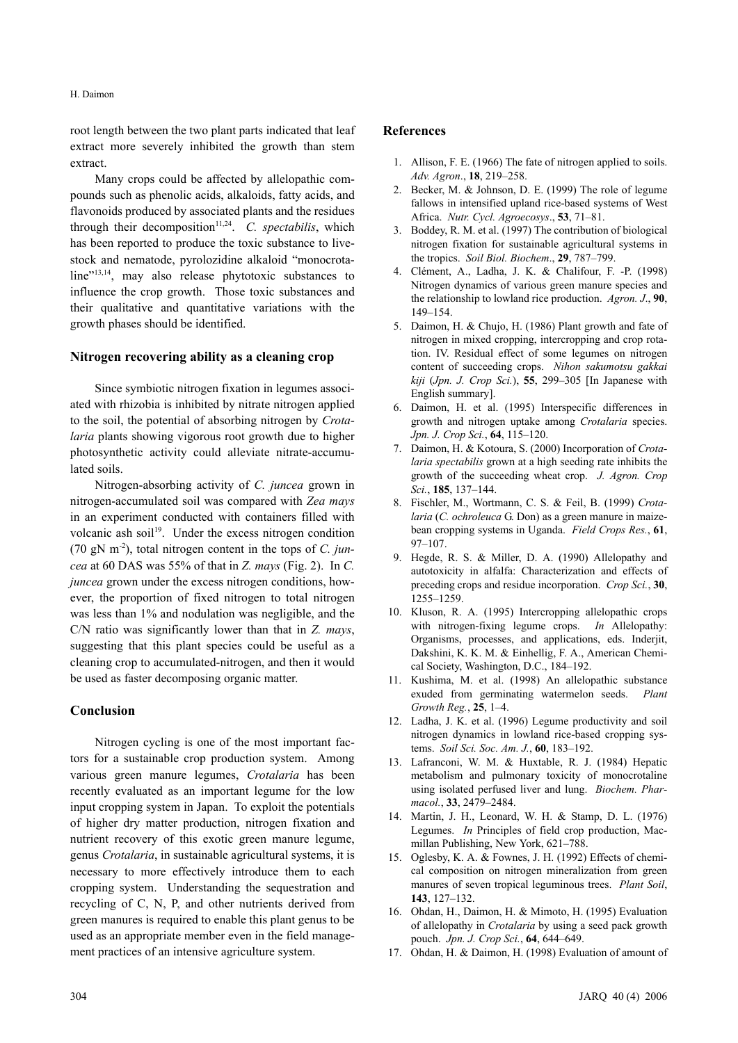### H. Daimon

root length between the two plant parts indicated that leaf extract more severely inhibited the growth than stem extract.

Many crops could be affected by allelopathic compounds such as phenolic acids, alkaloids, fatty acids, and flavonoids produced by associated plants and the residues through their decomposition<sup> $11,24$ </sup>. *C. spectabilis*, which has been reported to produce the toxic substance to livestock and nematode, pyrolozidine alkaloid "monocrotaline"<sup>13,14</sup>, may also release phytotoxic substances to influence the crop growth. Those toxic substances and their qualitative and quantitative variations with the growth phases should be identified.

### **Nitrogen recovering ability as a cleaning crop**

Since symbiotic nitrogen fixation in legumes associated with rhizobia is inhibited by nitrate nitrogen applied to the soil, the potential of absorbing nitrogen by *Crotalaria* plants showing vigorous root growth due to higher photosynthetic activity could alleviate nitrate-accumulated soils.

Nitrogen-absorbing activity of *C. juncea* grown in nitrogen-accumulated soil was compared with *Zea mays* in an experiment conducted with containers filled with volcanic ash soil<sup>19</sup>. Under the excess nitrogen condition (70 gN m-2), total nitrogen content in the tops of *C. juncea* at 60 DAS was 55% of that in *Z. mays* (Fig. 2). In *C. juncea* grown under the excess nitrogen conditions, however, the proportion of fixed nitrogen to total nitrogen was less than 1% and nodulation was negligible, and the C/N ratio was significantly lower than that in *Z. mays*, suggesting that this plant species could be useful as a cleaning crop to accumulated-nitrogen, and then it would be used as faster decomposing organic matter.

# **Conclusion**

Nitrogen cycling is one of the most important factors for a sustainable crop production system. Among various green manure legumes, *Crotalaria* has been recently evaluated as an important legume for the low input cropping system in Japan. To exploit the potentials of higher dry matter production, nitrogen fixation and nutrient recovery of this exotic green manure legume, genus *Crotalaria*, in sustainable agricultural systems, it is necessary to more effectively introduce them to each cropping system. Understanding the sequestration and recycling of C, N, P, and other nutrients derived from green manures is required to enable this plant genus to be used as an appropriate member even in the field management practices of an intensive agriculture system.

### **References**

- 1. Allison, F. E. (1966) The fate of nitrogen applied to soils. *Adv. Agron*., **18**, 219–258.
- 2. Becker, M. & Johnson, D. E. (1999) The role of legume fallows in intensified upland rice-based systems of West Africa. *Nutr. Cycl. Agroecosys*., **53**, 71–81.
- 3. Boddey, R. M. et al. (1997) The contribution of biological nitrogen fixation for sustainable agricultural systems in the tropics. *Soil Biol. Biochem*., **29**, 787–799.
- 4. Clément, A., Ladha, J. K. & Chalifour, F. -P. (1998) Nitrogen dynamics of various green manure species and the relationship to lowland rice production. *Agron. J*., **90**, 149–154.
- 5. Daimon, H. & Chujo, H. (1986) Plant growth and fate of nitrogen in mixed cropping, intercropping and crop rotation. IV. Residual effect of some legumes on nitrogen content of succeeding crops. *Nihon sakumotsu gakkai kiji* (*Jpn. J. Crop Sci.*), **55**, 299–305 [In Japanese with English summary].
- 6. Daimon, H. et al. (1995) Interspecific differences in growth and nitrogen uptake among *Crotalaria* species. *Jpn. J. Crop Sci.*, **64**, 115–120.
- 7. Daimon, H. & Kotoura, S. (2000) Incorporation of *Crotalaria spectabilis* grown at a high seeding rate inhibits the growth of the succeeding wheat crop. *J. Agron. Crop Sci.*, **185**, 137–144.
- 8. Fischler, M., Wortmann, C. S. & Feil, B. (1999) *Crotalaria* (*C. ochroleuca* G. Don) as a green manure in maizebean cropping systems in Uganda. *Field Crops Res.*, **61**, 97–107.
- 9. Hegde, R. S. & Miller, D. A. (1990) Allelopathy and autotoxicity in alfalfa: Characterization and effects of preceding crops and residue incorporation. *Crop Sci.*, **30**, 1255–1259.
- 10. Kluson, R. A. (1995) Intercropping allelopathic crops with nitrogen-fixing legume crops. *In* Allelopathy: Organisms, processes, and applications, eds. Inderjit, Dakshini, K. K. M. & Einhellig, F. A., American Chemical Society, Washington, D.C., 184–192.
- 11. Kushima, M. et al. (1998) An allelopathic substance exuded from germinating watermelon seeds. *Plant Growth Reg.*, **25**, 1–4.
- 12. Ladha, J. K. et al. (1996) Legume productivity and soil nitrogen dynamics in lowland rice-based cropping systems. *Soil Sci. Soc. Am. J.*, **60**, 183–192.
- 13. Lafranconi, W. M. & Huxtable, R. J. (1984) Hepatic metabolism and pulmonary toxicity of monocrotaline using isolated perfused liver and lung. *Biochem. Pharmacol.*, **33**, 2479–2484.
- 14. Martin, J. H., Leonard, W. H. & Stamp, D. L. (1976) Legumes. *In* Principles of field crop production, Macmillan Publishing, New York, 621–788.
- 15. Oglesby, K. A. & Fownes, J. H. (1992) Effects of chemical composition on nitrogen mineralization from green manures of seven tropical leguminous trees. *Plant Soil*, **143**, 127–132.
- 16. Ohdan, H., Daimon, H. & Mimoto, H. (1995) Evaluation of allelopathy in *Crotalaria* by using a seed pack growth pouch. *Jpn. J. Crop Sci.*, **64**, 644–649.
- 17. Ohdan, H. & Daimon, H. (1998) Evaluation of amount of